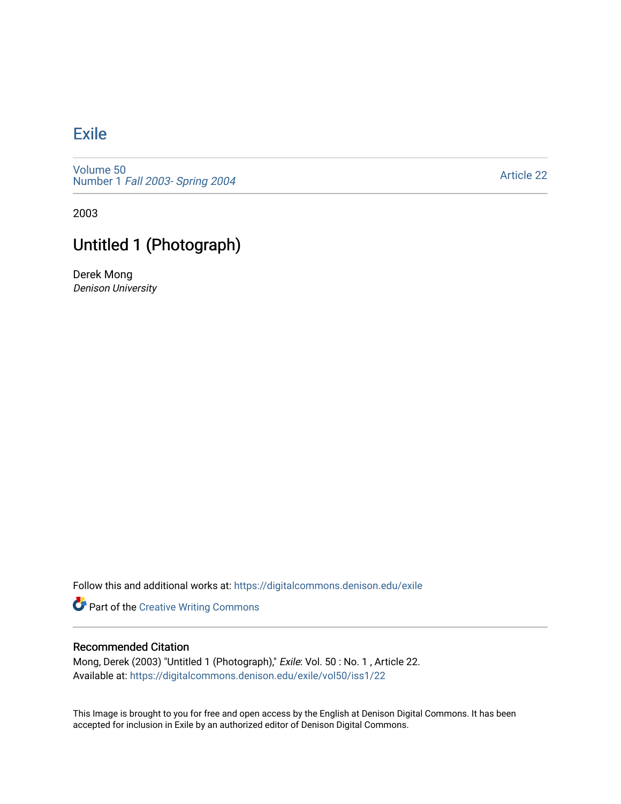## [Exile](https://digitalcommons.denison.edu/exile)

[Volume 50](https://digitalcommons.denison.edu/exile/vol50) Number 1 [Fall 2003- Spring 2004](https://digitalcommons.denison.edu/exile/vol50/iss1) 

[Article 22](https://digitalcommons.denison.edu/exile/vol50/iss1/22) 

2003

## Untitled 1 (Photograph)

Derek Mong Denison University

Follow this and additional works at: [https://digitalcommons.denison.edu/exile](https://digitalcommons.denison.edu/exile?utm_source=digitalcommons.denison.edu%2Fexile%2Fvol50%2Fiss1%2F22&utm_medium=PDF&utm_campaign=PDFCoverPages) 

**Part of the Creative Writing Commons** 

## Recommended Citation

Mong, Derek (2003) "Untitled 1 (Photograph)," Exile: Vol. 50 : No. 1 , Article 22. Available at: [https://digitalcommons.denison.edu/exile/vol50/iss1/22](https://digitalcommons.denison.edu/exile/vol50/iss1/22?utm_source=digitalcommons.denison.edu%2Fexile%2Fvol50%2Fiss1%2F22&utm_medium=PDF&utm_campaign=PDFCoverPages)

This Image is brought to you for free and open access by the English at Denison Digital Commons. It has been accepted for inclusion in Exile by an authorized editor of Denison Digital Commons.